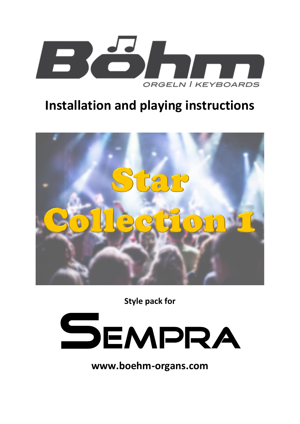

# **Installation and playing instructions**



**Style pack for**



**www.boehm-organs.com**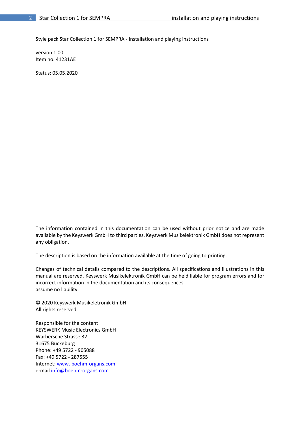Style pack Star Collection 1 for SEMPRA - Installation and playing instructions

version 1.00 Item no. 41231AE

Status: 05.05.2020

The information contained in this documentation can be used without prior notice and are made available by the Keyswerk GmbH to third parties. Keyswerk Musikelektronik GmbH does not represent any obligation.

The description is based on the information available at the time of going to printing.

Changes of technical details compared to the descriptions. All specifications and illustrations in this manual are reserved. Keyswerk Musikelektronik GmbH can be held liable for program errors and for incorrect information in the documentation and its consequences assume no liability.

© 2020 Keyswerk Musikeletronik GmbH All rights reserved.

Responsible for the content KEYSWERK Music Electronics GmbH Warbersche Strasse 32 31675 Bückeburg Phone: +49 5722 - 905088 Fax: +49 5722 - 287555 Internet: www. boehm-organs.com e-mail info@boehm-organs.com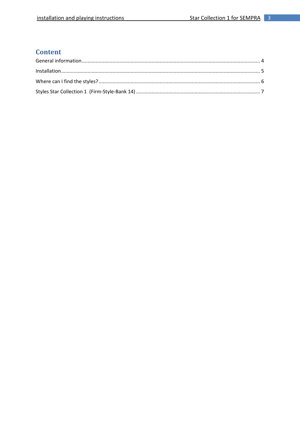## **Content**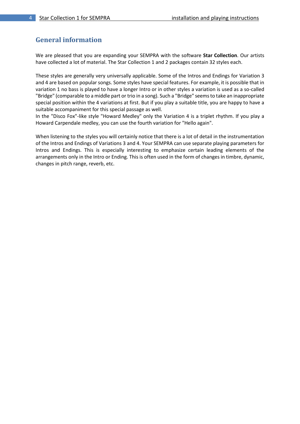#### <span id="page-3-0"></span>**General information**

We are pleased that you are expanding your SEMPRA with the software **Star Collection**. Our artists have collected a lot of material. The Star Collection 1 and 2 packages contain 32 styles each.

These styles are generally very universally applicable. Some of the Intros and Endings for Variation 3 and 4 are based on popular songs. Some styles have special features. For example, it is possible that in variation 1 no bass is played to have a longer Intro or in other styles a variation is used as a so-called "Bridge" (comparable to a middle part or trio in a song). Such a "Bridge" seems to take an inappropriate special position within the 4 variations at first. But if you play a suitable title, you are happy to have a suitable accompaniment for this special passage as well.

In the "Disco Fox"-like style "Howard Medley" only the Variation 4 is a triplet rhythm. If you play a Howard Carpendale medley, you can use the fourth variation for "Hello again".

When listening to the styles you will certainly notice that there is a lot of detail in the instrumentation of the Intros and Endings of Variations 3 and 4. Your SEMPRA can use separate playing parameters for Intros and Endings. This is especially interesting to emphasize certain leading elements of the arrangements only in the Intro or Ending. This is often used in the form of changes in timbre, dynamic, changes in pitch range, reverb, etc.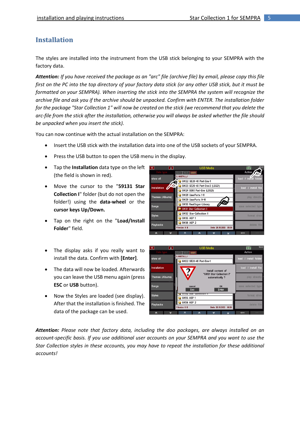### <span id="page-4-0"></span>**Installation**

The styles are installed into the instrument from the USB stick belonging to your SEMPRA with the factory data.

*Attention: If you have received the package as an "arc" file (archive file) by email, please copy this file first on the PC into the top directory of your factory data stick (or any other USB stick, but it must be formatted on your SEMPRA). When inserting the stick into the SEMPRA the system will recognize the archive file and ask you if the archive should be unpacked. Confirm with ENTER. The installation folder for the package "Star Collection 1" will now be created on the stick (we recommend that you delete the arc-file from the stick after the installation, otherwise you will always be asked whether the file should be unpacked when you insert the stick).* 

You can now continue with the actual installation on the SEMPRA:

- Insert the USB stick with the installation data into one of the USB sockets of your SEMPRA.
- Press the USB button to open the USB menu in the display.
- Tap the **Installation** data type on the left (the field is shown in red).
- Move the cursor to the "**59131 Star Collection I**" folder (but do not open the folder!) using the **data-wheel** or the **cursor keys Up/Down.**
- Tap on the right on the "**Load/Install Folder**" field.
- The display asks if you really want to install the data. Confirm with **[Enter]**.
- The data will now be loaded. Afterwards you can leave the USB menu again (press **ESC** or **USB** button).
- Now the Styles are loaded (see display). After that the installation is finished. The data of the package can be used.





*Attention: Please note that factory data, including the doo packages, are always installed on an account-specific basis. If you use additional user accounts on your SEMPRA and you want to use the Star Collection styles in these accounts, you may have to repeat the installation for these additional accounts!*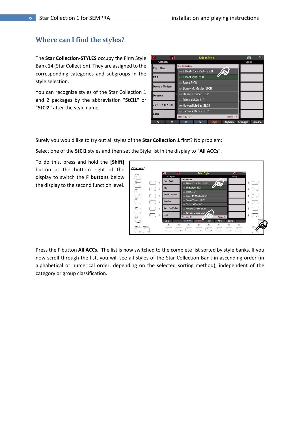#### <span id="page-5-0"></span>**Where can I find the styles?**

The **Star Collection-STYLES** occupy the Firm Style Bank 14 (Star Collection). They are assigned to the corresponding categories and subgroups in the style selection.

You can recognize styles of the Star Collection 1 and 2 packages by the abbreviation "**StCl1**" or "**StCl2**" after the style name.

| $\overline{\bf{K}}$ | 页      |                         | Select Style                 |              |                   | $\boxed{\uparrow \uparrow}$ | 10:36    |
|---------------------|--------|-------------------------|------------------------------|--------------|-------------------|-----------------------------|----------|
| Category            |        |                         |                              |              |                   | Group                       |          |
| Pop / Beat          |        | <b>Star Collection</b>  |                              |              |                   |                             |          |
|                     |        |                         | 001: 8 Beat-Rock Party StCl1 |              | 烦                 |                             |          |
| R&B                 |        | 002: 8 Beat light StCl1 |                              |              |                   |                             |          |
|                     |        | 003: Blues StCl1        |                              |              |                   |                             |          |
| Dance / Modern      |        |                         | 004: Boney M. Medley StCl1   |              |                   |                             |          |
| <b>Discofox</b>     |        |                         | oos: Dance Trouper StCl1     |              |                   |                             |          |
|                     |        |                         | 006: Disco YMCA StCl1        |              |                   |                             |          |
| Jive / Rock'n'Roll  |        |                         | ooz: Howard Medley StCl1     |              |                   |                             |          |
| Latin               |        |                         | 008: Jamaica Dance StCl1     |              |                   |                             |          |
|                     |        | Time sig.: 4/4          |                              |              | <b>Tempo: 118</b> |                             |          |
| ≪                   | $\vee$ | ≪                       | $\checkmark$                 | <b>Style</b> | Playback          | Arpeggio                    | Sideline |

Surely you would like to try out all styles of the **Star Collection 1** first? No problem:

Select one of the **StCl1** styles and then set the Style list in the display to "**All ACCs**".

To do this, press and hold the **[Shift]** button at the bottom right of the display to switch the **F buttons** below the display to the second function level.



Press the F button **All ACCs**. The list is now switched to the complete list sorted by style banks. If you now scroll through the list, you will see all styles of the Star Collection Bank in ascending order (in alphabetical or numerical order, depending on the selected sorting method), independent of the category or group classification.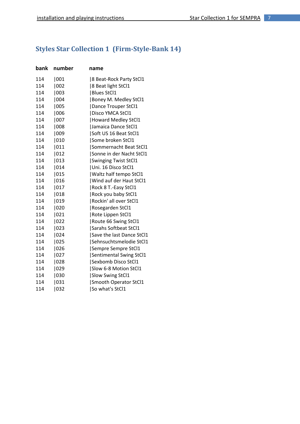# <span id="page-6-0"></span>**Styles Star Collection 1 (Firm-Style-Bank 14)**

| number | name                         |
|--------|------------------------------|
| 001    | 8 Beat-Rock Party StCl1      |
| 1002   | 8 Beat light StCl1           |
| 003    | <b>Blues StCl1</b>           |
| 004    | Boney M. Medley StCl1        |
| 005    | Dance Trouper StCl1          |
| 1006   | Disco YMCA StCl1             |
| 007    | Howard Medley StCl1          |
| 008    | Jamaica Dance StCl1          |
| 009    | Soft US 16 Beat StCl1        |
| 010    | Some broken StCl1            |
| 011    | Sommernacht Beat StCl1       |
| 012    | Sonne in der Nacht StCl1     |
| 013    | <b>Swinging Twist StCl1</b>  |
| 014    | Uni. 16 Disco StCl1          |
| 015    | Waltz half tempo StCl1       |
| 016    | Wind auf der Haut StCl1      |
| 017    | Rock 8 T.-Easy StCl1         |
| 018    | Rock you baby StCl1          |
| 019    | Rockin' all over StCl1       |
| 020    | Rosegarden StCl1             |
| 021    | Rote Lippen StCl1            |
| 022    | Route 66 Swing StCl1         |
| 023    | <b>Sarahs Softbeat StCl1</b> |
| 024    | Save the last Dance StCl1    |
| 1025   | Sehnsuchtsmelodie StCl1      |
| 026    | Sempre Sempre StCl1          |
| 027    | Sentimental Swing StCl1      |
|        | Sexbomb Disco StCl1          |
| 029    | Slow 6-8 Motion StCl1        |
| 030    | <b>Slow Swing StCl1</b>      |
| 031    | Smooth Operator StCl1        |
|        | So what's StCl1              |
|        | 028<br>032                   |